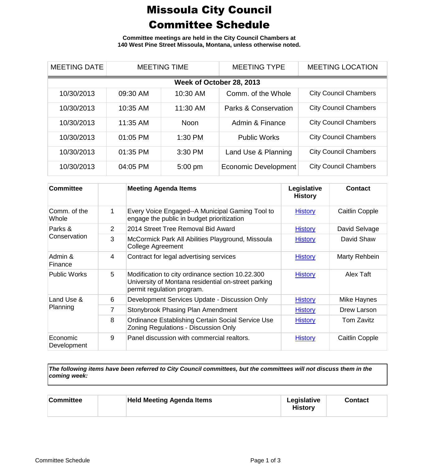## Missoula City Council Committee Schedule

**Committee meetings are held in the City Council Chambers at 140 West Pine Street Missoula, Montana, unless otherwise noted.**

| <b>MEETING DATE</b>      | <b>MEETING TIME</b> |             | <b>MEETING TYPE</b>         | <b>MEETING LOCATION</b>      |  |
|--------------------------|---------------------|-------------|-----------------------------|------------------------------|--|
| Week of October 28, 2013 |                     |             |                             |                              |  |
| 10/30/2013               | 09:30 AM            | 10:30 AM    | Comm. of the Whole          | <b>City Council Chambers</b> |  |
| 10/30/2013               | 10:35 AM            | 11:30 AM    | Parks & Conservation        | <b>City Council Chambers</b> |  |
| 10/30/2013               | 11:35 AM            | <b>Noon</b> | Admin & Finance             | <b>City Council Chambers</b> |  |
| 10/30/2013               | 01:05 PM            | 1:30 PM     | <b>Public Works</b>         | <b>City Council Chambers</b> |  |
| 10/30/2013               | 01:35 PM            | 3:30 PM     | Land Use & Planning         | <b>City Council Chambers</b> |  |
| 10/30/2013               | 04:05 PM            | 5:00 pm     | <b>Economic Development</b> | <b>City Council Chambers</b> |  |

| <b>Committee</b>        |   | <b>Meeting Agenda Items</b>                                                                                                           | Legislative<br><b>History</b> | <b>Contact</b>        |
|-------------------------|---|---------------------------------------------------------------------------------------------------------------------------------------|-------------------------------|-----------------------|
| Comm, of the<br>Whole   | 1 | Every Voice Engaged--A Municipal Gaming Tool to<br>engage the public in budget prioritization                                         | <b>History</b>                | <b>Caitlin Copple</b> |
| Parks &<br>Conservation | 2 | 2014 Street Tree Removal Bid Award                                                                                                    | <b>History</b>                | David Selvage         |
|                         | 3 | McCormick Park All Abilities Playground, Missoula<br>College Agreement                                                                | <b>History</b>                | David Shaw            |
| Admin &<br>Finance      | 4 | Contract for legal advertising services                                                                                               | <b>History</b>                | Marty Rehbein         |
| <b>Public Works</b>     | 5 | Modification to city ordinance section 10.22.300<br>University of Montana residential on-street parking<br>permit regulation program. | <b>History</b>                | Alex Taft             |
| Land Use &<br>Planning  | 6 | Development Services Update - Discussion Only                                                                                         | <b>History</b>                | Mike Haynes           |
|                         | 7 | Stonybrook Phasing Plan Amendment                                                                                                     | <b>History</b>                | Drew Larson           |
|                         | 8 | Ordinance Establishing Certain Social Service Use<br>Zoning Regulations - Discussion Only                                             | <b>History</b>                | Tom Zavitz            |
| Economic<br>Development | 9 | Panel discussion with commercial realtors.                                                                                            | <b>History</b>                | Caitlin Copple        |

*The following items have been referred to City Council committees, but the committees will not discuss them in the coming week:*

| <b>Committee</b> | <b>Held Meeting Agenda Items</b> | Legislative<br><b>History</b> | <b>Contact</b> |
|------------------|----------------------------------|-------------------------------|----------------|
|                  |                                  |                               |                |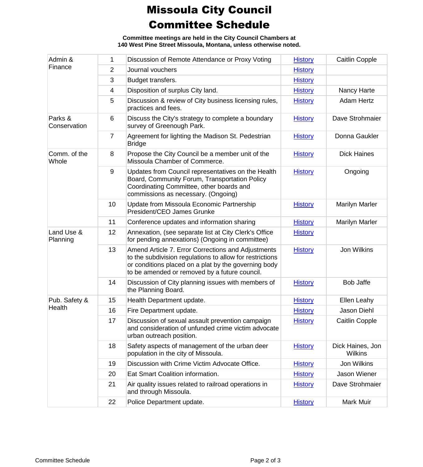## Missoula City Council Committee Schedule

**Committee meetings are held in the City Council Chambers at 140 West Pine Street Missoula, Montana, unless otherwise noted.**

| Admin &<br>Finance      | 1  | Discussion of Remote Attendance or Proxy Voting                                                                                                                                                                         | <b>History</b> | <b>Caitlin Copple</b>              |
|-------------------------|----|-------------------------------------------------------------------------------------------------------------------------------------------------------------------------------------------------------------------------|----------------|------------------------------------|
|                         | 2  | Journal vouchers                                                                                                                                                                                                        | <b>History</b> |                                    |
|                         | 3  | Budget transfers.                                                                                                                                                                                                       | <b>History</b> |                                    |
|                         | 4  | Disposition of surplus City land.                                                                                                                                                                                       | <b>History</b> | Nancy Harte                        |
|                         | 5  | Discussion & review of City business licensing rules,<br>practices and fees.                                                                                                                                            | <b>History</b> | <b>Adam Hertz</b>                  |
| Parks &<br>Conservation | 6  | Discuss the City's strategy to complete a boundary<br>survey of Greenough Park.                                                                                                                                         | <b>History</b> | Dave Strohmaier                    |
|                         | 7  | Agreement for lighting the Madison St. Pedestrian<br><b>Bridge</b>                                                                                                                                                      | <b>History</b> | Donna Gaukler                      |
| Comm. of the<br>Whole   | 8  | Propose the City Council be a member unit of the<br>Missoula Chamber of Commerce.                                                                                                                                       | <b>History</b> | <b>Dick Haines</b>                 |
|                         | 9  | Updates from Council representatives on the Health<br>Board, Community Forum, Transportation Policy<br>Coordinating Committee, other boards and<br>commissions as necessary. (Ongoing)                                  | <b>History</b> | Ongoing                            |
|                         | 10 | Update from Missoula Economic Partnership<br>President/CEO James Grunke                                                                                                                                                 | <b>History</b> | <b>Marilyn Marler</b>              |
|                         | 11 | Conference updates and information sharing                                                                                                                                                                              | <b>History</b> | <b>Marilyn Marler</b>              |
| Land Use &<br>Planning  | 12 | Annexation, (see separate list at City Clerk's Office<br>for pending annexations) (Ongoing in committee)                                                                                                                | <b>History</b> |                                    |
|                         | 13 | Amend Article 7. Error Corrections and Adjustments<br>to the subdivision regulations to allow for restrictions<br>or conditions placed on a plat by the governing body<br>to be amended or removed by a future council. | <b>History</b> | Jon Wilkins                        |
|                         | 14 | Discussion of City planning issues with members of<br>the Planning Board.                                                                                                                                               | <b>History</b> | <b>Bob Jaffe</b>                   |
| Pub. Safety &           | 15 | Health Department update.                                                                                                                                                                                               | <b>History</b> | Ellen Leahy                        |
| Health                  | 16 | Fire Department update.                                                                                                                                                                                                 | <b>History</b> | Jason Diehl                        |
|                         | 17 | Discussion of sexual assault prevention campaign<br>and consideration of unfunded crime victim advocate<br>urban outreach position.                                                                                     | <b>History</b> | <b>Caitlin Copple</b>              |
|                         | 18 | Safety aspects of management of the urban deer<br>population in the city of Missoula.                                                                                                                                   | <b>History</b> | Dick Haines, Jon<br><b>Wilkins</b> |
|                         | 19 | Discussion with Crime Victim Advocate Office.                                                                                                                                                                           | <b>History</b> | Jon Wilkins                        |
|                         | 20 | Eat Smart Coalition information.                                                                                                                                                                                        | <b>History</b> | Jason Wiener                       |
|                         | 21 | Air quality issues related to railroad operations in<br>and through Missoula.                                                                                                                                           | <b>History</b> | Dave Strohmaier                    |
|                         | 22 | Police Department update.                                                                                                                                                                                               | <b>History</b> | Mark Muir                          |